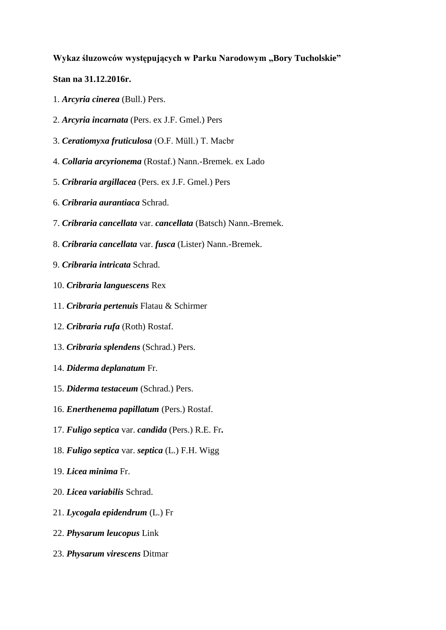## **Wykaz śluzowców występujących w Parku Narodowym "Bory Tucholskie"**

## **Stan na 31.12.2016r.**

- 1. *Arcyria cinerea* (Bull.) Pers.
- 2. *Arcyria incarnata* (Pers. ex J.F. Gmel.) Pers
- 3. *Ceratiomyxa fruticulosa* (O.F. Müll.) T. Macbr
- 4. *Collaria arcyrionema* (Rostaf.) Nann.-Bremek. ex Lado
- 5. *Cribraria argillacea* (Pers. ex J.F. Gmel.) Pers
- 6. *Cribraria aurantiaca* Schrad.
- 7. *Cribraria cancellata* var. *cancellata* (Batsch) Nann.-Bremek.
- 8. *Cribraria cancellata* var. *fusca* (Lister) Nann.-Bremek.
- 9. *Cribraria intricata* Schrad.
- 10. *Cribraria languescens* Rex
- 11. *Cribraria pertenuis* Flatau & Schirmer
- 12. *Cribraria rufa* (Roth) Rostaf.
- 13. *Cribraria splendens* (Schrad.) Pers.
- 14. *Diderma deplanatum* Fr.
- 15. *Diderma testaceum* (Schrad.) Pers.
- 16. *Enerthenema papillatum* (Pers.) Rostaf.
- 17. *Fuligo septica* var. *candida* (Pers.) R.E. Fr**.**
- 18. *Fuligo septica* var. *septica* (L.) F.H. Wigg
- 19. *Licea minima* Fr.
- 20. *Licea variabilis* Schrad.
- 21. *Lycogala epidendrum* (L.) Fr
- 22. *Physarum leucopus* Link
- 23. *Physarum virescens* Ditmar